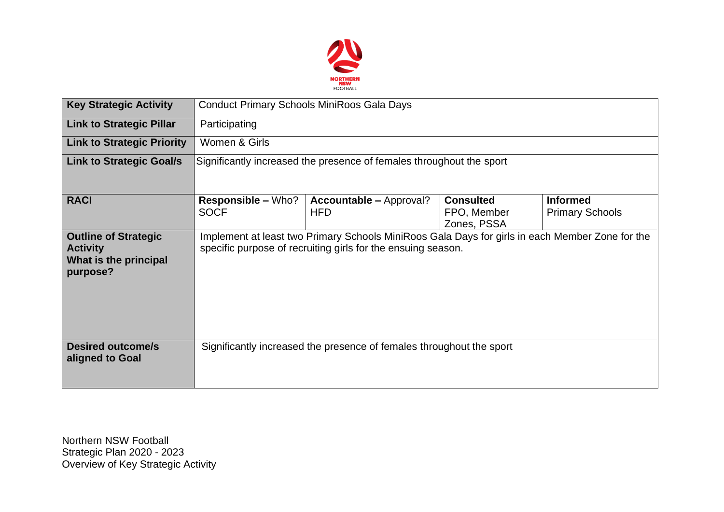

| <b>Key Strategic Activity</b>                                                       | <b>Conduct Primary Schools MiniRoos Gala Days</b>                                                                                                               |                                              |                                                |                                           |  |  |  |
|-------------------------------------------------------------------------------------|-----------------------------------------------------------------------------------------------------------------------------------------------------------------|----------------------------------------------|------------------------------------------------|-------------------------------------------|--|--|--|
| <b>Link to Strategic Pillar</b>                                                     | Participating                                                                                                                                                   |                                              |                                                |                                           |  |  |  |
| <b>Link to Strategic Priority</b>                                                   | Women & Girls                                                                                                                                                   |                                              |                                                |                                           |  |  |  |
| <b>Link to Strategic Goal/s</b>                                                     | Significantly increased the presence of females throughout the sport                                                                                            |                                              |                                                |                                           |  |  |  |
| <b>RACI</b>                                                                         | <b>Responsible – Who?</b><br><b>SOCF</b>                                                                                                                        | <b>Accountable – Approval?</b><br><b>HFD</b> | <b>Consulted</b><br>FPO, Member<br>Zones, PSSA | <b>Informed</b><br><b>Primary Schools</b> |  |  |  |
| <b>Outline of Strategic</b><br><b>Activity</b><br>What is the principal<br>purpose? | Implement at least two Primary Schools MiniRoos Gala Days for girls in each Member Zone for the<br>specific purpose of recruiting girls for the ensuing season. |                                              |                                                |                                           |  |  |  |
| <b>Desired outcome/s</b><br>aligned to Goal                                         | Significantly increased the presence of females throughout the sport                                                                                            |                                              |                                                |                                           |  |  |  |

Northern NSW Football Strategic Plan 2020 - 2023 Overview of Key Strategic Activity